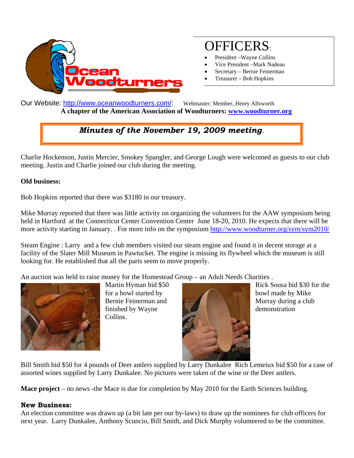

# OFFICERS:

- President –Wayne Collins
- Vice President –Mark Nadeau
- Secretary Bernie Feinerman
- Treasurer Bob Hopkins

Our Website: http://www.oceanwoodturners.com/: Webmaster: Member, Henry Allsworth  **A chapter of the American Association of Woodturners: www.woodturner.org** 

# *Minutes of the November 19, 2009 meeting.*

Charlie Hockenson, Justin Mercier, Smokey Spangler, and George Lough were welcomed as guests to our club meeting. Justin and Charlie joined our club during the meeting.

#### **Old business:**

Bob Hopkins reported that there was \$3180 in our treasury.

Mike Murray reported that there was little activity on organizing the volunteers for the AAW symposium being held in Hartford at the Connecticut Center Convention Center June 18-20, 2010. He expects that there will be more activity starting in January. . For more info on the symposium http://www.woodturner.org/sym/sym2010/

Steam Engine : Larry and a few club members visited our steam engine and found it in decent storage at a facility of the Slater Mill Museum in Pawtucket. The engine is missing its flywheel which the museum is still looking for. He established that all the parts seem to move properly.

An auction was held to raise money for the Homestead Group – an Adult Needs Charities .



Martin Hyman bid \$50 for a bowl started by Bernie Feinerman and finished by Wayne Collins.



Rick Sousa bid \$30 for the bowl made by Mike Murray during a club demonstration

Bill Smith bid \$50 for 4 pounds of Deer antlers supplied by Larry Dunkalee Rich Lemeiux bid \$50 for a case of assorted wines supplied by Larry Dunkalee. No pictures were taken of the wine or the Deer antlers.

**Mace project** – no news -the Mace is due for completion by May 2010 for the Earth Sciences building.

#### **New Business:**

An election committee was drawn up (a bit late per our by-laws) to draw up the nominees for club officers for next year. Larry Dunkalee, Anthony Scuncio, Bill Smith, and Dick Murphy volunteered to be the committee.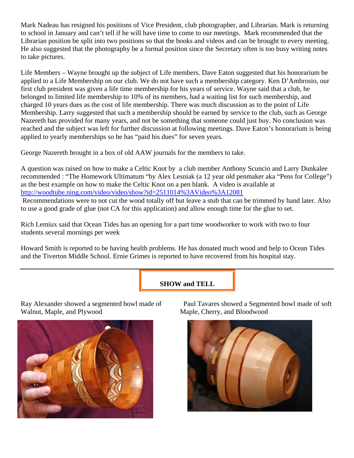Mark Nadeau has resigned his positions of Vice President, club photographer, and Librarian. Mark is returning to school in January and can't tell if he will have time to come to our meetings. Mark recommended that the Librarian position be split into two positions so that the books and videos and can be brought to every meeting. He also suggested that the photography be a formal position since the Secretary often is too busy writing notes to take pictures.

Life Members – Wayne brought up the subject of Life members. Dave Eaton suggested that his honorarium be applied to a Life Membership on our club. We do not have such a membership category. Ken D'Ambrosio, our first club president was given a life time membership for his years of service. Wayne said that a club, he belonged to limited life membership to 10% of its members, had a waiting list for such membership, and charged 10 years dues as the cost of life membership. There was much discussion as to the point of Life Membership. Larry suggested that such a membership should be earned by service to the club, such as George Nazereth has provided for many years, and not be something that someone could just buy. No conclusion was reached and the subject was left for further discussion at following meetings. Dave Eaton's honorarium is being applied to yearly memberships so he has "paid his dues" for seven years.

George Nazereth brought in a box of old AAW journals for the members to take.

A question was raised on how to make a Celtic Knot by a club member Anthony Scuncio and Larry Dunkalee recommended : "The Homework Ultimatum "by Alex Lesniak (a 12 year old penmaker aka "Pens for College") as the best example on how to make the Celtic Knot on a pen blank. A video is available at http://woodtube.ning.com/video/video/show?id=2511014%3AVideo%3A12081

 Recommendations were to not cut the wood totally off but leave a stub that can be trimmed by hand later. Also to use a good grade of glue (not CA for this application) and allow enough time for the glue to set.

Rich Lemiux said that Ocean Tides has an opening for a part time woodworker to work with two to four students several mornings per week

Howard Smith is reported to be having health problems. He has donated much wood and help to Ocean Tides and the Tiverton Middle School. Ernie Grimes is reported to have recovered from his hospital stay.

### **SHOW and TELL**

Ray Alexander showed a segmented bowl made of Walnut, Maple, and Plywood



 Paul Tavares showed a Segmented bowl made of soft Maple, Cherry, and Bloodwood

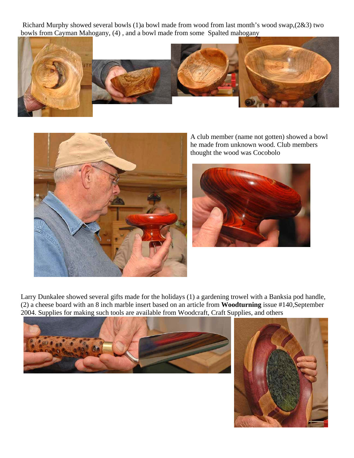Richard Murphy showed several bowls (1)a bowl made from wood from last month's wood swap,(2&3) two bowls from Cayman Mahogany, (4) , and a bowl made from some Spalted mahogany





A club member (name not gotten) showed a bowl he made from unknown wood. Club members thought the wood was Cocobolo



Larry Dunkalee showed several gifts made for the holidays (1) a gardening trowel with a Banksia pod handle, (2) a cheese board with an 8 inch marble insert based on an article from **Woodturning** issue #140,September 2004. Supplies for making such tools are available from Woodcraft, Craft Supplies, and others



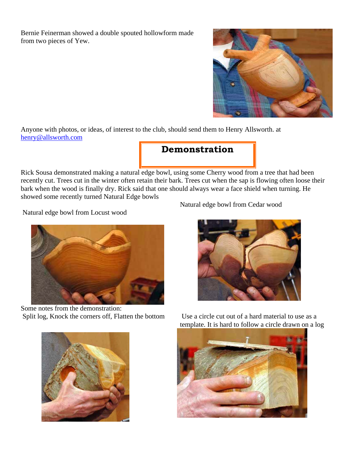Bernie Feinerman showed a double spouted hollowform made from two pieces of Yew.

Anyone with photos, or ideas, of interest to the club, should send them to Henry Allsworth. at henry@allsworth.com

**Demonstration** 

Rick Sousa demonstrated making a natural edge bowl, using some Cherry wood from a tree that had been recently cut. Trees cut in the winter often retain their bark. Trees cut when the sap is flowing often loose their bark when the wood is finally dry. Rick said that one should always wear a face shield when turning. He showed some recently turned Natural Edge bowls

Natural edge bowl from Locust wood



Some notes from the demonstration: Split log, Knock the corners off, Flatten the bottom Use a circle cut out of a hard material to use as a



Natural edge bowl from Cedar wood



template. It is hard to follow a circle drawn on a log

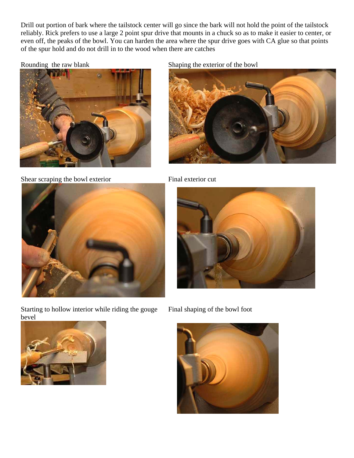Drill out portion of bark where the tailstock center will go since the bark will not hold the point of the tailstock reliably. Rick prefers to use a large 2 point spur drive that mounts in a chuck so as to make it easier to center, or even off, the peaks of the bowl. You can harden the area where the spur drive goes with CA glue so that points of the spur hold and do not drill in to the wood when there are catches



Shear scraping the bowl exterior Final exterior cut

Rounding the raw blank Shaping the exterior of the bowl







Starting to hollow interior while riding the gouge bevel





Final shaping of the bowl foot